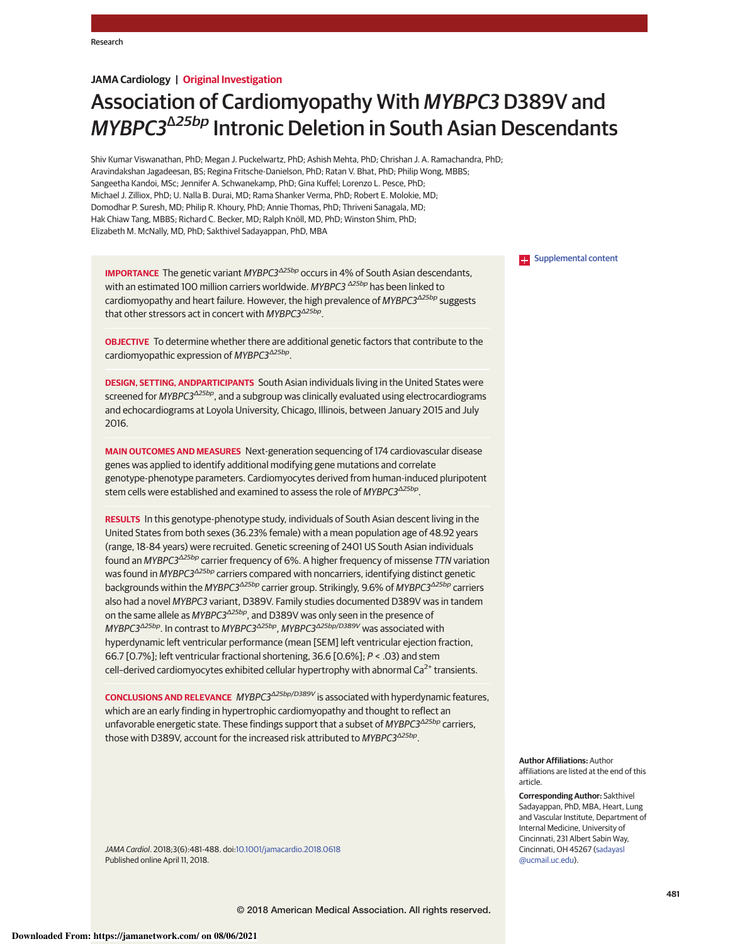## **JAMA Cardiology | Original Investigation**

# Association of Cardiomyopathy With MYBPC3 D389V and MYBPC3<sup>Δ25bp</sup> Intronic Deletion in South Asian Descendants

Shiv Kumar Viswanathan, PhD; Megan J. Puckelwartz, PhD; Ashish Mehta, PhD; Chrishan J. A. Ramachandra, PhD; Aravindakshan Jagadeesan, BS; Regina Fritsche-Danielson, PhD; Ratan V. Bhat, PhD; Philip Wong, MBBS; Sangeetha Kandoi, MSc; Jennifer A. Schwanekamp, PhD; Gina Kuffel; Lorenzo L. Pesce, PhD; Michael J. Zilliox, PhD; U. Nalla B. Durai, MD; Rama Shanker Verma, PhD; Robert E. Molokie, MD; Domodhar P. Suresh, MD; Philip R. Khoury, PhD; Annie Thomas, PhD; Thriveni Sanagala, MD; Hak Chiaw Tang, MBBS; Richard C. Becker, MD; Ralph Knöll, MD, PhD; Winston Shim, PhD; Elizabeth M. McNally, MD, PhD; Sakthivel Sadayappan, PhD, MBA

**IMPORTANCE** The genetic variant *MYBPC3*<sup>Δ25bp</sup> occurs in 4% of South Asian descendants, with an estimated 100 million carriers worldwide. *MYBPC3* <sup>Δ</sup>*25bp* has been linked to cardiomyopathy and heart failure. However, the high prevalence of *MYBPC3*<sup>Δ</sup>*25bp* suggests that other stressors act in concert with *MYBPC3*<sup>Δ</sup>*25bp* .

**OBJECTIVE** To determine whether there are additional genetic factors that contribute to the cardiomyopathic expression of *MYBPC3*<sup>Δ</sup>*25bp* .

**DESIGN, SETTING, ANDPARTICIPANTS** South Asian individuals living in the United States were screened for *MYBPC3*<sup>Δ</sup>*25bp*, and a subgroup was clinically evaluated using electrocardiograms and echocardiograms at Loyola University, Chicago, Illinois, between January 2015 and July 2016.

**MAIN OUTCOMES AND MEASURES** Next-generation sequencing of 174 cardiovascular disease genes was applied to identify additional modifying gene mutations and correlate genotype-phenotype parameters. Cardiomyocytes derived from human-induced pluripotent stem cells were established and examined to assess the role of *MYBPC3*<sup>Δ</sup>*25bp* .

**RESULTS** In this genotype-phenotype study, individuals of South Asian descent living in the United States from both sexes (36.23% female) with a mean population age of 48.92 years (range, 18-84 years) were recruited. Genetic screening of 2401 US South Asian individuals found an *MYBPC3*<sup>Δ</sup>*25bp* carrier frequency of 6%. A higher frequency of missense *TTN* variation was found in *MYBPC3*<sup>Δ</sup>*25bp* carriers compared with noncarriers, identifying distinct genetic backgrounds within the *MYBPC3*<sup>Δ</sup>*25bp* carrier group. Strikingly, 9.6% of *MYBPC3*<sup>Δ</sup>*25bp* carriers also had a novel *MYBPC3* variant, D389V. Family studies documented D389V was in tandem on the same allele as *MYBPC3*<sup>Δ</sup>*25bp*, and D389V was only seen in the presence of *MYBPC3*<sup>Δ</sup>*25bp*. In contrast to *MYBPC3*<sup>Δ</sup>*25bp* , *MYBPC3*<sup>Δ</sup>*25bp/D389V* was associated with hyperdynamic left ventricular performance (mean [SEM] left ventricular ejection fraction, 66.7 [0.7%]; left ventricular fractional shortening, 36.6 [0.6%]; *P* < .03) and stem cell-derived cardiomyocytes exhibited cellular hypertrophy with abnormal  $Ca<sup>2+</sup>$  transients.

**CONCLUSIONS AND RELEVANCE** *MYBPC3*<sup>Δ</sup>*25bp/D389V* is associated with hyperdynamic features, which are an early finding in hypertrophic cardiomyopathy and thought to reflect an unfavorable energetic state. These findings support that a subset of *MYBPC3*<sup>Δ</sup>*25bp* carriers, those with D389V, account for the increased risk attributed to *MYBPC3*<sup>Δ</sup>*25bp* .

*JAMA Cardiol*. 2018;3(6):481-488. doi:10.1001/jamacardio.2018.0618 Published online April 11, 2018.

**Examplemental content** 

**Author Affiliations:** Author affiliations are listed at the end of this article.

**Corresponding Author:** Sakthivel Sadayappan, PhD, MBA, Heart, Lung and Vascular Institute, Department of Internal Medicine, University of Cincinnati, 231 Albert Sabin Way, Cincinnati, OH 45267 (sadayasl @ucmail.uc.edu).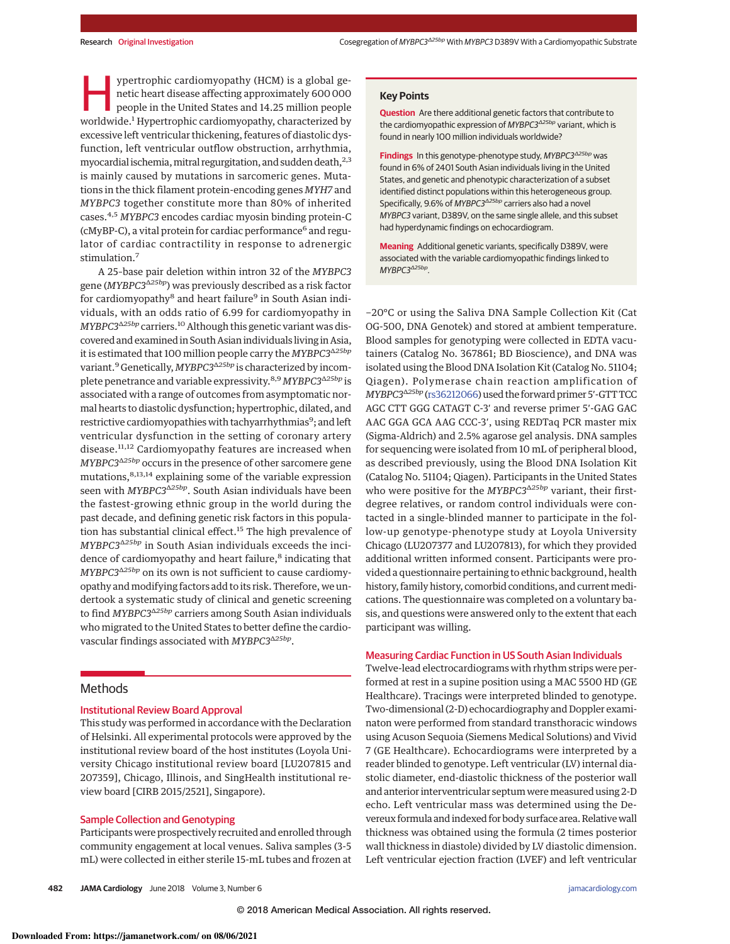ypertrophic cardiomyopathy (HCM) is a global genetic heart disease affecting approximately 600 000 people in the United States and 14.25 million people worldwide.<sup>1</sup> Hypertrophic cardiomyopathy, characterized by ypertrophic cardiomyopathy (HCM) is a global genetic heart disease affecting approximately 600 000 people in the United States and 14.25 million people excessive left ventricular thickening, features of diastolic dysfunction, left ventricular outflow obstruction, arrhythmia, myocardial ischemia, mitral regurgitation, and sudden death, $^{2,3}$ is mainly caused by mutations in sarcomeric genes. Mutations in the thick filament protein-encoding genes MYH7 and MYBPC3 together constitute more than 80% of inherited cases.4,5 MYBPC3 encodes cardiac myosin binding protein-C (cMyBP-C), a vital protein for cardiac performance<sup>6</sup> and regulator of cardiac contractility in response to adrenergic stimulation.<sup>7</sup>

A 25–base pair deletion within intron 32 of the MYBPC3 gene (MYBPC3<sup>Δ25bp</sup>) was previously described as a risk factor for cardiomyopathy<sup>8</sup> and heart failure<sup>9</sup> in South Asian individuals, with an odds ratio of 6.99 for cardiomyopathy in MYBPC3<sup>Δ25bp</sup> carriers.<sup>10</sup> Although this genetic variant was discovered and examined in South Asian individuals living in Asia, it is estimated that 100 million people carry the  $\emph{MYBPC3}^{\Delta25bp}$ variant.<sup>9</sup> Genetically, MYBPC3<sup>Δ25bp</sup> is characterized by incomplete penetrance and variable expressivity.<sup>8,9</sup> MYBPC3<sup>Δ25bp</sup> is associated with a range of outcomes from asymptomatic normal hearts to diastolic dysfunction; hypertrophic, dilated, and restrictive cardiomyopathies with tachyarrhythmias<sup>9</sup>; and left ventricular dysfunction in the setting of coronary artery disease.<sup>11,12</sup> Cardiomyopathy features are increased when MYBPC3<sup> $\triangle$ 25bp</sup> occurs in the presence of other sarcomere gene mutations,<sup>8,13,14</sup> explaining some of the variable expression seen with MYBPC3<sup> $\triangle 25bp$ </sup>. South Asian individuals have been the fastest-growing ethnic group in the world during the past decade, and defining genetic risk factors in this population has substantial clinical effect.<sup>15</sup> The high prevalence of  $MYBPC3^{\Delta25bp}$  in South Asian individuals exceeds the incidence of cardiomyopathy and heart failure,<sup>8</sup> indicating that  $MYBPC3^{\Delta25bp}$  on its own is not sufficient to cause cardiomyopathy and modifying factors add to its risk. Therefore, we undertook a systematic study of clinical and genetic screening to find *MYBPC3<sup>Δ25bp</sup>* carriers among South Asian individuals who migrated to the United States to better define the cardiovascular findings associated with MYBPC3<sup>A25bp</sup>.

# **Methods**

#### Institutional Review Board Approval

This study was performed in accordance with the Declaration of Helsinki. All experimental protocols were approved by the institutional review board of the host institutes (Loyola University Chicago institutional review board [LU207815 and 207359], Chicago, Illinois, and SingHealth institutional review board [CIRB 2015/2521], Singapore).

#### Sample Collection and Genotyping

Participants were prospectively recruited and enrolled through community engagement at local venues. Saliva samples (3-5 mL) were collected in either sterile 15-mL tubes and frozen at **Question** Are there additional genetic factors that contribute to the cardiomyopathic expression of *MYBPC3*<sup>Δ</sup>*25bp* variant, which is found in nearly 100 million individuals worldwide?

**Findings** In this genotype-phenotype study, *MYBPC3*<sup>Δ</sup>*25bp* was found in 6% of 2401 South Asian individuals living in the United States, and genetic and phenotypic characterization of a subset identified distinct populations within this heterogeneous group. Specifically, 9.6% of *MYBPC3<sup>Δ25bp</sup>* carriers also had a novel *MYBPC3* variant, D389V, on the same single allele, and this subset had hyperdynamic findings on echocardiogram.

**Meaning** Additional genetic variants, specifically D389V, were associated with the variable cardiomyopathic findings linked to *MYBPC3*<sup>Δ</sup>*25bp .*

−20°C or using the Saliva DNA Sample Collection Kit (Cat OG-500, DNA Genotek) and stored at ambient temperature. Blood samples for genotyping were collected in EDTA vacutainers (Catalog No. 367861; BD Bioscience), and DNA was isolated using the Blood DNA Isolation Kit (Catalog No. 51104; Qiagen). Polymerase chain reaction amplification of MYBPC3Δ25bp (rs36212066) used the forward primer 5′-GTT TCC AGC CTT GGG CATAGT C-3′ and reverse primer 5′-GAG GAC AAC GGA GCA AAG CCC-3′, using REDTaq PCR master mix (Sigma-Aldrich) and 2.5% agarose gel analysis. DNA samples for sequencing were isolated from 10 mL of peripheral blood, as described previously, using the Blood DNA Isolation Kit (Catalog No. 51104; Qiagen). Participants in the United States who were positive for the *MYBPC3*<sup>Δ25bp</sup> variant, their firstdegree relatives, or random control individuals were contacted in a single-blinded manner to participate in the follow-up genotype-phenotype study at Loyola University Chicago (LU207377 and LU207813), for which they provided additional written informed consent. Participants were provided a questionnaire pertaining to ethnic background, health history, family history, comorbid conditions, and current medications. The questionnaire was completed on a voluntary basis, and questions were answered only to the extent that each participant was willing.

## Measuring Cardiac Function in US South Asian Individuals

Twelve-lead electrocardiograms with rhythm strips were performed at rest in a supine position using a MAC 5500 HD (GE Healthcare). Tracings were interpreted blinded to genotype. Two-dimensional (2-D) echocardiography and Doppler examinaton were performed from standard transthoracic windows using Acuson Sequoia (Siemens Medical Solutions) and Vivid 7 (GE Healthcare). Echocardiograms were interpreted by a reader blinded to genotype. Left ventricular (LV) internal diastolic diameter, end-diastolic thickness of the posterior wall and anterior interventricular septum were measured using 2-D echo. Left ventricular mass was determined using the Devereux formula and indexed for body surface area. Relativewall thickness was obtained using the formula (2 times posterior wall thickness in diastole) divided by LV diastolic dimension. Left ventricular ejection fraction (LVEF) and left ventricular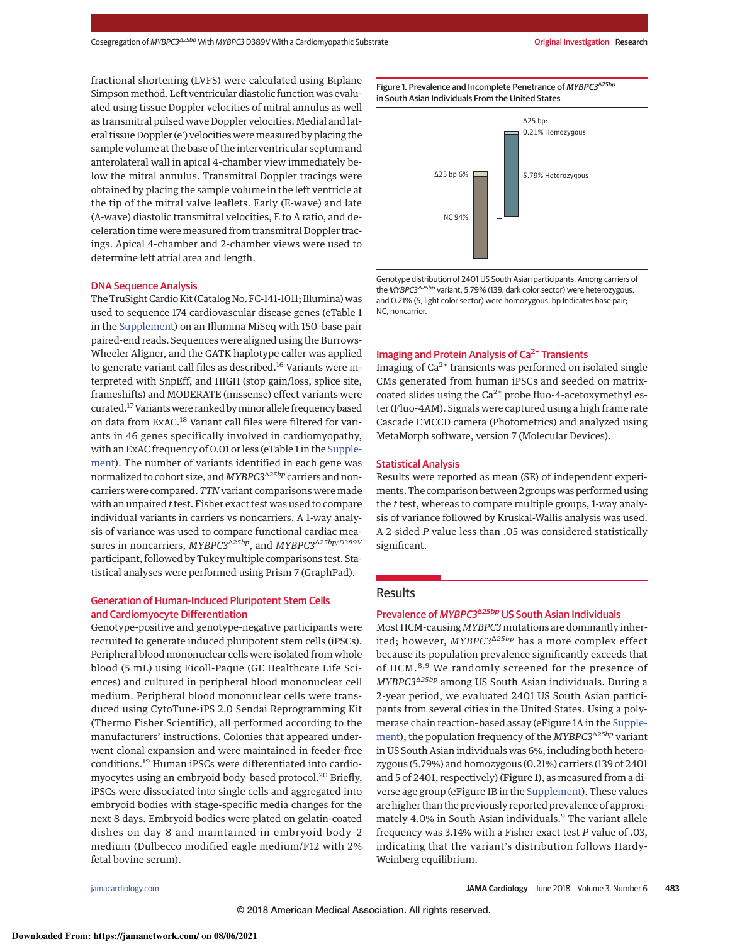fractional shortening (LVFS) were calculated using Biplane Simpson method. Left ventricular diastolic function was evaluated using tissue Doppler velocities of mitral annulus as well as transmitral pulsed wave Doppler velocities. Medial and lateral tissue Doppler (e′) velocities weremeasured by placing the sample volume at the base of the interventricular septum and anterolateral wall in apical 4-chamber view immediately below the mitral annulus. Transmitral Doppler tracings were obtained by placing the sample volume in the left ventricle at the tip of the mitral valve leaflets. Early (E-wave) and late (A-wave) diastolic transmitral velocities, E to A ratio, and deceleration time were measured from transmitral Doppler tracings. Apical 4-chamber and 2-chamber views were used to determine left atrial area and length.

#### DNA Sequence Analysis

The TruSight Cardio Kit (Catalog No. FC-141-1011; Illumina) was used to sequence 174 cardiovascular disease genes (eTable 1 in the Supplement) on an Illumina MiSeq with 150–base pair paired-end reads. Sequences were aligned using the Burrows-Wheeler Aligner, and the GATK haplotype caller was applied to generate variant call files as described.<sup>16</sup> Variants were interpreted with SnpEff, and HIGH (stop gain/loss, splice site, frameshifts) and MODERATE (missense) effect variants were curated.17Variantswere ranked byminor allele frequency based on data from ExAC.<sup>18</sup> Variant call files were filtered for variants in 46 genes specifically involved in cardiomyopathy, with an ExAC frequency of 0.01 or less (eTable 1 in the Supplement). The number of variants identified in each gene was normalized to cohort size, and *MYBPC3*<sup>Δ25bp</sup> carriers and noncarriers were compared. TTN variant comparisons were made with an unpaired  $t$  test. Fisher exact test was used to compare individual variants in carriers vs noncarriers. A 1-way analysis of variance was used to compare functional cardiac measures in noncarriers, MYBPC3<sup>Δ25bp</sup>, and MYBPC3<sup>Δ25bp</sup>/D389V participant, followed by Tukeymultiple comparisons test. Statistical analyses were performed using Prism 7 (GraphPad).

## Generation of Human-Induced Pluripotent Stem Cells and Cardiomyocyte Differentiation

Genotype-positive and genotype-negative participants were recruited to generate induced pluripotent stem cells (iPSCs). Peripheral blood mononuclear cells were isolated from whole blood (5 mL) using Ficoll-Paque (GE Healthcare Life Sciences) and cultured in peripheral blood mononuclear cell medium. Peripheral blood mononuclear cells were transduced using CytoTune-iPS 2.0 Sendai Reprogramming Kit (Thermo Fisher Scientific), all performed according to the manufacturers' instructions. Colonies that appeared underwent clonal expansion and were maintained in feeder-free conditions.<sup>19</sup> Human iPSCs were differentiated into cardiomyocytes using an embryoid body-based protocol.<sup>20</sup> Briefly, iPSCs were dissociated into single cells and aggregated into embryoid bodies with stage-specific media changes for the next 8 days. Embryoid bodies were plated on gelatin-coated dishes on day 8 and maintained in embryoid body–2 medium (Dulbecco modified eagle medium/F12 with 2% fetal bovine serum).

Figure 1. Prevalence and Incomplete Penetrance of MYBPC3<sup>Δ25bp</sup> in South Asian Individuals From the United States



Genotype distribution of 2401 US South Asian participants. Among carriers of the *MYBPC3*<sup>Δ</sup>*25bp* variant, 5.79% (139, dark color sector) were heterozygous, and 0.21% (5, light color sector) were homozygous. bp Indicates base pair; NC, noncarrier.

## Imaging and Protein Analysis of Ca<sup>2+</sup> Transients

Imaging of  $Ca<sup>2+</sup>$  transients was performed on isolated single CMs generated from human iPSCs and seeded on matrixcoated slides using the  $Ca^{2+}$  probe fluo-4-acetoxymethyl ester (Fluo-4AM). Signals were captured using a high frame rate Cascade EMCCD camera (Photometrics) and analyzed using MetaMorph software, version 7 (Molecular Devices).

## Statistical Analysis

Results were reported as mean (SE) of independent experiments. The comparison between 2 groupswas performed using the  $t$  test, whereas to compare multiple groups, 1-way analysis of variance followed by Kruskal-Wallis analysis was used. A 2-sided P value less than .05 was considered statistically significant.

## **Results**

## Prevalence of *MYBPC3*<sup>Δ25bp</sup> US South Asian Individuals

Most HCM-causing MYBPC3 mutations are dominantly inherited; however, MYBPC3<sup>A25bp</sup> has a more complex effect because its population prevalence significantly exceeds that of HCM.<sup>8,9</sup> We randomly screened for the presence of MYBPC3<sup>Δ25bp</sup> among US South Asian individuals. During a 2-year period, we evaluated 2401 US South Asian participants from several cities in the United States. Using a polymerase chain reaction–based assay (eFigure 1A in the Supplement), the population frequency of the MYBPC3Δ25bp variant in US South Asian individuals was 6%, including both heterozygous (5.79%) and homozygous (0.21%) carriers (139 of 2401 and 5 of 2401, respectively) (Figure 1), as measured from a diverse age group (eFigure 1B in the Supplement). These values are higher than the previously reported prevalence of approximately 4.0% in South Asian individuals.<sup>9</sup> The variant allele frequency was 3.14% with a Fisher exact test P value of .03, indicating that the variant's distribution follows Hardy-Weinberg equilibrium.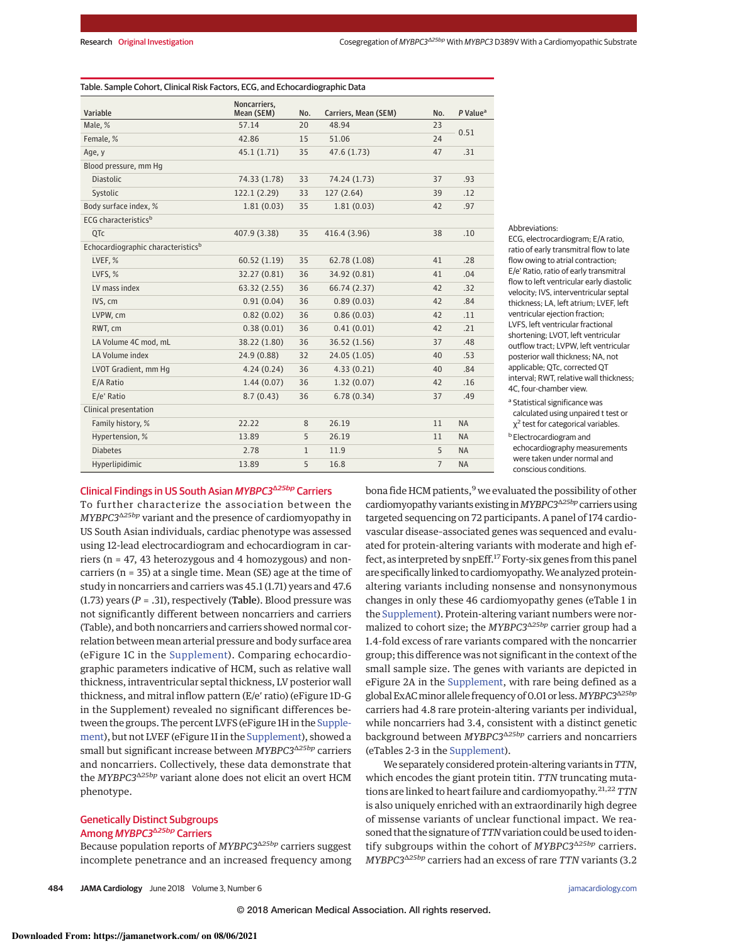#### Table. Sample Cohort, Clinical Risk Factors, ECG, and Echocardiographic Data

| Variable                                       | Noncarriers.<br>Mean (SEM) | No.          | Carriers, Mean (SEM) | No.            | $P$ Value <sup>a</sup> |
|------------------------------------------------|----------------------------|--------------|----------------------|----------------|------------------------|
| Male, %                                        | 57.14                      | 20           | 48.94                | 23             |                        |
| Female, %                                      | 42.86                      | 15           | 51.06                | 24             | 0.51                   |
| Age, y                                         | 45.1(1.71)                 | 35           | 47.6 (1.73)          | 47             | .31                    |
| Blood pressure, mm Hq                          |                            |              |                      |                |                        |
| <b>Diastolic</b>                               | 74.33 (1.78)               | 33           | 74.24 (1.73)         | 37             | .93                    |
| Systolic                                       | 122.1(2.29)                | 33           | 127(2.64)            | 39             | .12                    |
| Body surface index, %                          | 1.81(0.03)                 | 35           | 1.81(0.03)           | 42             | .97                    |
| ECG characteristics <sup>b</sup>               |                            |              |                      |                |                        |
| OT <sub>c</sub>                                | 407.9 (3.38)               | 35           | 416.4 (3.96)         | 38             | .10                    |
| Echocardiographic characteristics <sup>b</sup> |                            |              |                      |                |                        |
| LVEF, %                                        | 60.52(1.19)                | 35           | 62.78 (1.08)         | 41             | .28                    |
| LVFS, %                                        | 32.27 (0.81)               | 36           | 34.92 (0.81)         | 41             | .04                    |
| LV mass index                                  | 63.32(2.55)                | 36           | 66.74 (2.37)         | 42             | .32                    |
| IVS, cm                                        | 0.91(0.04)                 | 36           | 0.89(0.03)           | 42             | .84                    |
| LVPW, cm                                       | 0.82(0.02)                 | 36           | 0.86(0.03)           | 42             | .11                    |
| RWT, cm                                        | 0.38(0.01)                 | 36           | 0.41(0.01)           | 42             | .21                    |
| LA Volume 4C mod, mL                           | 38.22 (1.80)               | 36           | 36.52 (1.56)         | 37             | .48                    |
| LA Volume index                                | 24.9 (0.88)                | 32           | 24.05 (1.05)         | 40             | .53                    |
| LVOT Gradient, mm Hq                           | 4.24(0.24)                 | 36           | 4.33(0.21)           | 40             | .84                    |
| E/A Ratio                                      | 1.44(0.07)                 | 36           | 1.32(0.07)           | 42             | .16                    |
| E/e' Ratio                                     | 8.7(0.43)                  | 36           | 6.78(0.34)           | 37             | .49                    |
| Clinical presentation                          |                            |              |                      |                |                        |
| Family history, %                              | 22.22                      | 8            | 26.19                | 11             | <b>NA</b>              |
| Hypertension, %                                | 13.89                      | 5            | 26.19                | 11             | <b>NA</b>              |
| <b>Diabetes</b>                                | 2.78                       | $\mathbf{1}$ | 11.9                 | 5              | <b>NA</b>              |
| Hyperlipidimic                                 | 13.89                      | 5            | 16.8                 | $\overline{7}$ | <b>NA</b>              |

Abbreviations:

ECG, electrocardiogram; E/A ratio, ratio of early transmitral flow to late flow owing to atrial contraction; E/e′ Ratio, ratio of early transmitral flow to left ventricular early diastolic velocity; IVS, interventricular septal thickness; LA, left atrium; LVEF, left ventricular ejection fraction; LVFS, left ventricular fractional shortening; LVOT, left ventricular outflow tract; LVPW, left ventricular posterior wall thickness; NA, not applicable; QTc, corrected QT interval; RWT, relative wall thickness; 4C, four-chamber view.

<sup>a</sup> Statistical significance was calculated using unpaired t test or χ 2 test for categorical variables.

**b** Electrocardiogram and echocardiography measurements were taken under normal and conscious conditions.

## Clinical Findings in US South Asian MYBPC3<sup>Δ25bp</sup> Carriers

To further characterize the association between the MYBPC3<sup>Δ25bp</sup> variant and the presence of cardiomyopathy in US South Asian individuals, cardiac phenotype was assessed using 12-lead electrocardiogram and echocardiogram in carriers (n = 47, 43 heterozygous and 4 homozygous) and noncarriers (n = 35) at a single time. Mean (SE) age at the time of study in noncarriers and carriers was 45.1 (1.71) years and 47.6 (1.73) years ( $P = .31$ ), respectively (Table). Blood pressure was not significantly different between noncarriers and carriers (Table), and both noncarriers and carriers showed normal correlation between mean arterial pressure and body surface area (eFigure 1C in the Supplement). Comparing echocardiographic parameters indicative of HCM, such as relative wall thickness, intraventricular septal thickness, LV posterior wall thickness, and mitral inflow pattern (E/e′ ratio) (eFigure 1D-G in the Supplement) revealed no significant differences between the groups. The percent LVFS (eFigure 1H in the Supplement), but not LVEF (eFigure 1I in the Supplement), showed a small but significant increase between MYBPC3Δ25bp carriers and noncarriers. Collectively, these data demonstrate that the MYBPC3<sup> $\triangle 25bp$ </sup> variant alone does not elicit an overt HCM phenotype.

## Genetically Distinct Subgroups Among *MYBPC3<sup>Δ25bp</sup>* Carriers

Because population reports of MYBPC3<sup> $\triangle 25bp$ </sup> carriers suggest incomplete penetrance and an increased frequency among

**484 JAMA Cardiology** June 2018 Volume 3, Number 6 **(Reprinted)** jamacardiology.com

bona fide HCM patients,<sup>9</sup> we evaluated the possibility of other cardiomyopathy variants existing in  $MYBPC3^{\Delta25bp}$  carriers using targeted sequencing on 72 participants. A panel of 174 cardiovascular disease–associated genes was sequenced and evaluated for protein-altering variants with moderate and high effect, as interpreted by snpEff.<sup>17</sup> Forty-six genes from this panel are specifically linked to cardiomyopathy.We analyzed proteinaltering variants including nonsense and nonsynonymous changes in only these 46 cardiomyopathy genes (eTable 1 in the Supplement). Protein-altering variant numbers were normalized to cohort size; the MYBPC3<sup>Δ25bp</sup> carrier group had a 1.4-fold excess of rare variants compared with the noncarrier group; this difference was not significant in the context of the small sample size. The genes with variants are depicted in eFigure 2A in the Supplement, with rare being defined as a global ExAC minor allele frequency of 0.01 or less. MYBPC3<sup>Δ25bp</sup> carriers had 4.8 rare protein-altering variants per individual, while noncarriers had 3.4, consistent with a distinct genetic background between MYBPC3<sup> $\triangle$ 25bp</sup> carriers and noncarriers (eTables 2-3 in the Supplement).

We separately considered protein-altering variants in TTN, which encodes the giant protein titin. TTN truncating mutations are linked to heart failure and cardiomyopathy.  $21,22$  TTN is also uniquely enriched with an extraordinarily high degree of missense variants of unclear functional impact. We reasoned that the signature of TTN variation could be used to identify subgroups within the cohort of  $MYBPC3^{\Delta25bp}$  carriers.  $MYBPC3^{\Delta25bp}$  carriers had an excess of rare TTN variants (3.2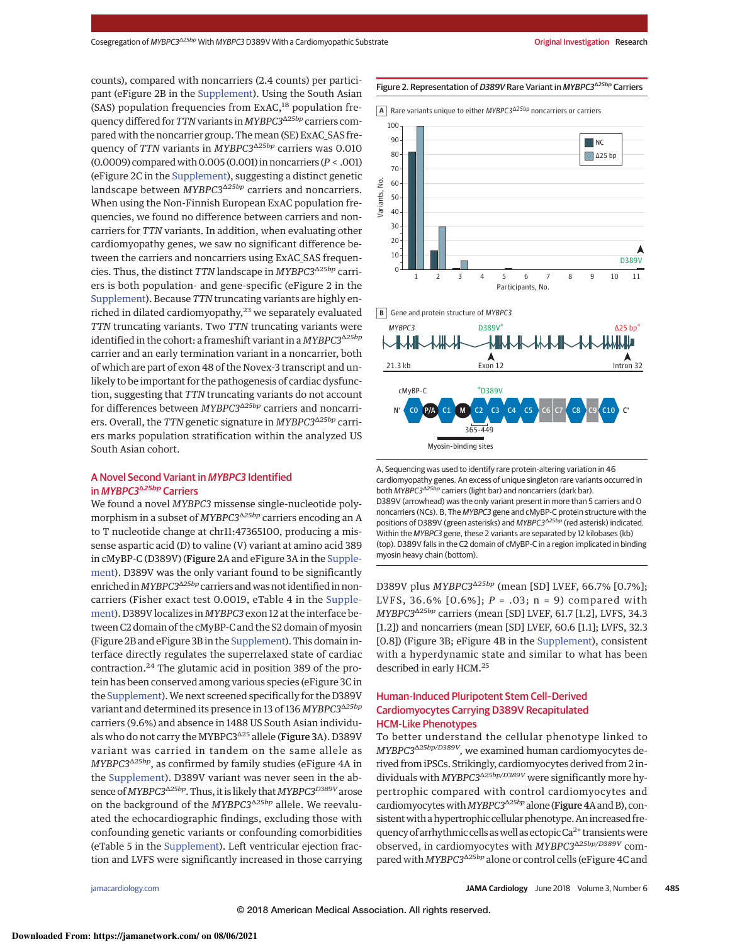counts), compared with noncarriers (2.4 counts) per participant (eFigure 2B in the Supplement). Using the South Asian (SAS) population frequencies from  $ExAC<sub>18</sub>$  population frequency differed for TTN variants in MYBPC3Δ25bp carriers compared with the noncarrier group. The mean (SE) ExAC\_SAS frequency of TTN variants in MYBPC3<sup>Δ25bp</sup> carriers was 0.010 (0.0009) comparedwith0.005 (0.001) in noncarriers (P < .001) (eFigure 2C in the Supplement), suggesting a distinct genetic landscape between MYBPC3<sup> $\triangle 25bp$ </sup> carriers and noncarriers. When using the Non-Finnish European ExAC population frequencies, we found no difference between carriers and noncarriers for TTN variants. In addition, when evaluating other cardiomyopathy genes, we saw no significant difference between the carriers and noncarriers using ExAC\_SAS frequencies. Thus, the distinct TTN landscape in  $MYBPC3^{\Delta25bp}$  carriers is both population- and gene-specific (eFigure 2 in the Supplement). Because TTN truncating variants are highly enriched in dilated cardiomyopathy,<sup>23</sup> we separately evaluated TTN truncating variants. Two TTN truncating variants were identified in the cohort: a frameshift variant in a  $MYBPC3^{\Delta25bp}$ carrier and an early termination variant in a noncarrier, both of which are part of exon 48 of the Novex-3 transcript and unlikely to be important for the pathogenesis of cardiac dysfunction, suggesting that TTN truncating variants do not account for differences between MYBPC3<sup>Δ25bp</sup> carriers and noncarriers. Overall, the TTN genetic signature in MYBPC3<sup>Δ25bp</sup> carriers marks population stratification within the analyzed US South Asian cohort.

## A Novel Second Variant in MYBPC3 Identified in *MYBPC3<sup>Δ25bp</sup>* Carriers

We found a novel MYBPC3 missense single-nucleotide polymorphism in a subset of *MYBPC3*<sup>Δ25bp</sup> carriers encoding an A to T nucleotide change at chr11:47365100, producing a missense aspartic acid (D) to valine (V) variant at amino acid 389 in cMyBP-C (D389V) (Figure 2A and eFigure 3A in the Supplement). D389V was the only variant found to be significantly enriched in MYBPC3<sup> $\triangle 25bp$ </sup> carriers and was not identified in noncarriers (Fisher exact test 0.0019, eTable 4 in the Supplement). D389V localizes in MYBPC3 exon 12 at the interface between C2 domain of the cMyBP-C and the S2 domain of myosin (Figure 2B and eFigure 3B in the Supplement). This domain interface directly regulates the superrelaxed state of cardiac contraction.<sup>24</sup> The glutamic acid in position 389 of the protein has been conserved among various species (eFigure 3C in the Supplement).We next screened specifically for the D389V variant and determined its presence in 13 of 136 MYBPC3<sup>Δ25bp</sup> carriers (9.6%) and absence in 1488 US South Asian individuals who do not carry the MYBPC3<sup>Δ25</sup> allele (Figure 3A). D389V variant was carried in tandem on the same allele as MYBPC3Δ25bp, as confirmed by family studies (eFigure 4A in the Supplement). D389V variant was never seen in the absence of MYBPC3<sup>Δ25bp</sup>. Thus, it is likely that MYBPC3<sup>D389V</sup> arose on the background of the MYBPC3<sup>Δ25bp</sup> allele. We reevaluated the echocardiographic findings, excluding those with confounding genetic variants or confounding comorbidities (eTable 5 in the Supplement). Left ventricular ejection fraction and LVFS were significantly increased in those carrying

#### Figure 2. Representation of D389V Rare Variant in MYBPC3<sup>Δ25bp</sup> Carriers

Rare variants unique to either MYBPC3∆25bp **A** noncarriers or carriers





A, Sequencing was used to identify rare protein-altering variation in 46 cardiomyopathy genes. An excess of unique singleton rare variants occurred in both *MYBPC3*<sup>Δ</sup>*25bp* carriers (light bar) and noncarriers (dark bar). D389V (arrowhead) was the only variant present in more than 5 carriers and 0 noncarriers (NCs). B, The *MYBPC3* gene and cMyBP-C protein structure with the positions of D389V (green asterisks) and *MYBPC3*<sup>Δ</sup>*25bp* (red asterisk) indicated. Within the *MYBPC3* gene, these 2 variants are separated by 12 kilobases (kb) (top). D389V falls in the C2 domain of cMyBP-C in a region implicated in binding myosin heavy chain (bottom).

D389V plus  $MYBPC3^{\Delta25bp}$  (mean [SD] LVEF, 66.7% [0.7%]; LVFS, 36.6%  $[0.6\%]$ ;  $P = .03$ ; n = 9) compared with  $MYBPC3^{\Delta25bp}$  carriers (mean [SD] LVEF, 61.7 [1.2], LVFS, 34.3 [1.2]) and noncarriers (mean [SD] LVEF, 60.6 [1.1]; LVFS, 32.3 [0.8]) (Figure 3B; eFigure 4B in the Supplement), consistent with a hyperdynamic state and similar to what has been described in early HCM.<sup>25</sup>

## Human-Induced Pluripotent Stem Cell–Derived Cardiomyocytes Carrying D389V Recapitulated HCM-Like Phenotypes

To better understand the cellular phenotype linked to MYBPC3<sup>^25bp/D389V</sup>, we examined human cardiomyocytes derived from iPSCs. Strikingly, cardiomyocytes derived from 2 individuals with MYBPC3 $\Delta$ 25bp/D389V were significantly more hypertrophic compared with control cardiomyocytes and cardiomyocytes with MYBPC3<sup> $\triangle 25bp$ </sup> alone (Figure 4A and B), consistent with a hypertrophic cellular phenotype. An increased frequency of arrhythmic cells as well as ectopic  $Ca<sup>2+</sup>$  transients were observed, in cardiomyocytes with MYBPC3<sup>Δ25bp/D389V</sup> compared with MYBPC3<sup> $\triangle 25bp$ </sup> alone or control cells (eFigure 4C and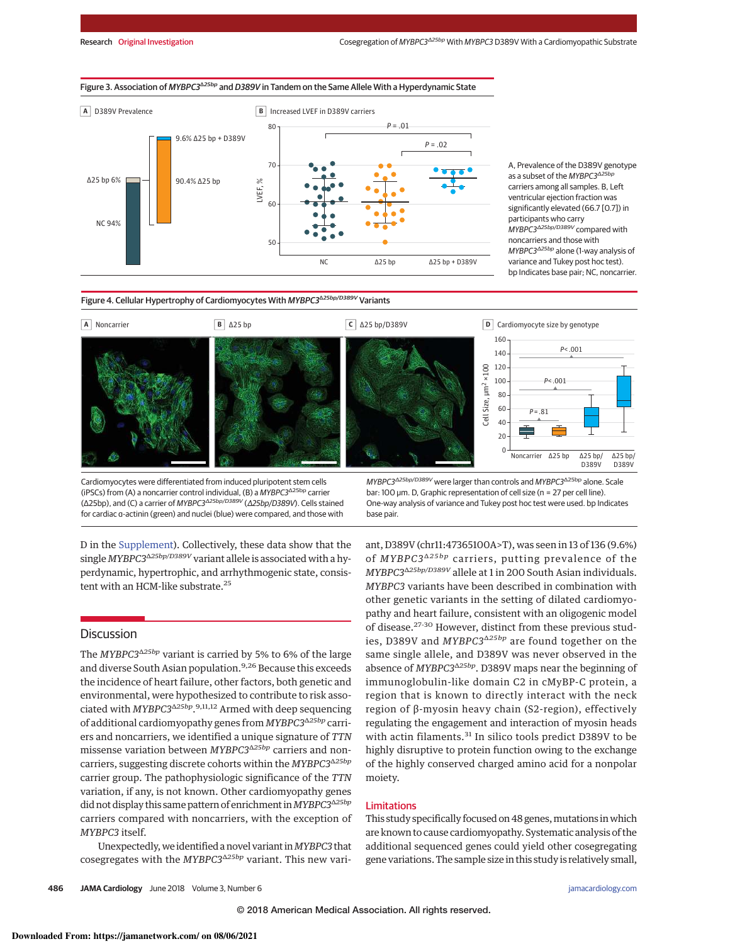



A, Prevalence of the D389V genotype as a subset of the *MYBPC3*<sup>Δ</sup>*25bp* carriers among all samples. B, Left ventricular ejection fraction was significantly elevated (66.7 [0.7]) in participants who carry *MYBPC3*<sup>Δ</sup>*25bp/D389V* compared with noncarriers and those with *MYBPC3*<sup>Δ</sup>*25bp* alone (1-way analysis of variance and Tukey post hoc test). bp Indicates base pair; NC, noncarrier.

## Figure 4. Cellular Hypertrophy of Cardiomyocytes With MYBPC3<sup>Δ25bp/D389V</sup> Variants



Cardiomyocytes were differentiated from induced pluripotent stem cells (iPSCs) from (A) a noncarrier control individual, (B) a *MYBPC3*Δ25bp carrier (Δ25bp), and (C) a carrier of *MYBPC3*<sup>Δ</sup>*25bp/D389V* (Δ*25bp/D389V*). Cells stained for cardiac α-actinin (green) and nuclei (blue) were compared, and those with

D in the Supplement). Collectively, these data show that the single MYBPC3<sup>Δ25bp/D389V</sup> variant allele is associated with a hyperdynamic, hypertrophic, and arrhythmogenic state, consistent with an HCM-like substrate.<sup>25</sup>

## **Discussion**

The MYBPC3<sup>Δ25bp</sup> variant is carried by 5% to 6% of the large and diverse South Asian population.<sup>9,26</sup> Because this exceeds the incidence of heart failure, other factors, both genetic and environmental, were hypothesized to contribute to risk associated with MYBPC3<sup>A25bp</sup>.<sup>9,11,12</sup> Armed with deep sequencing of additional cardiomyopathy genes from MYBPC3<sup>Δ25bp</sup> carriers and noncarriers, we identified a unique signature of TTN missense variation between MYBPC3<sup>Δ25bp</sup> carriers and noncarriers, suggesting discrete cohorts within the MYBPC3<sup>Δ25bp</sup> carrier group. The pathophysiologic significance of the TTN variation, if any, is not known. Other cardiomyopathy genes did not display this same pattern of enrichment in MYBPC3<sup>Δ25bp</sup> carriers compared with noncarriers, with the exception of MYBPC3 itself.

Unexpectedly,we identified a novel variant inMYBPC3 that cosegregates with the MYBPC3<sup>Δ25bp</sup> variant. This new vari-

*MYBPC3*<sup>Δ</sup>*25bp/D389V* were larger than controls and *MYBPC3*Δ25bp alone. Scale bar: 100 μm. D, Graphic representation of cell size (n = 27 per cell line). One-way analysis of variance and Tukey post hoc test were used. bp Indicates base pair.

ant, D389V (chr11:47365100A>T), was seen in 13 of 136 (9.6%) of  $MYBPC3^{\Delta 25bp}$  carriers, putting prevalence of the MYBPC3<sup>Δ25bp/D389V</sup> allele at 1 in 200 South Asian individuals. MYBPC3 variants have been described in combination with other genetic variants in the setting of dilated cardiomyopathy and heart failure, consistent with an oligogenic model of disease.27-30 However, distinct from these previous studies, D389V and  $MYBPC3^{\Delta25bp}$  are found together on the same single allele, and D389V was never observed in the absence of MYBPC3<sup> $\triangle 25bp$ </sup>. D389V maps near the beginning of immunoglobulin-like domain C2 in cMyBP-C protein, a region that is known to directly interact with the neck region of β-myosin heavy chain (S2-region), effectively regulating the engagement and interaction of myosin heads with actin filaments.<sup>31</sup> In silico tools predict D389V to be highly disruptive to protein function owing to the exchange of the highly conserved charged amino acid for a nonpolar moiety.

## Limitations

This study specifically focused on 48 genes, mutations in which are known to cause cardiomyopathy. Systematic analysis of the additional sequenced genes could yield other cosegregating gene variations. The sample size in this study is relatively small,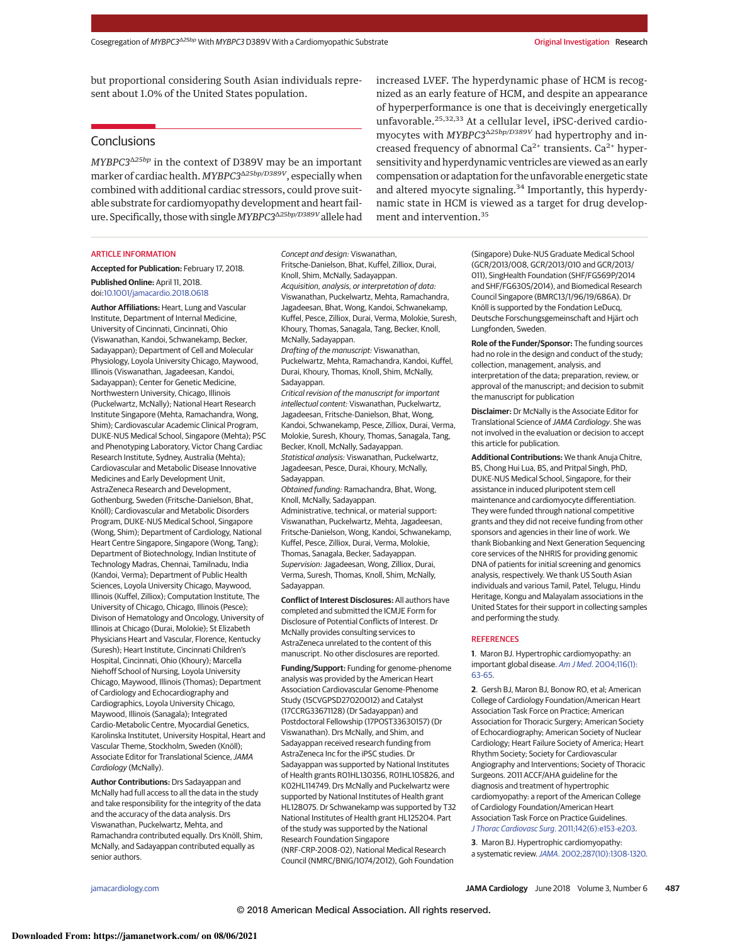but proportional considering South Asian individuals represent about 1.0% of the United States population.

# **Conclusions**

 $\emph{MYBPC3}^{\Delta25bp}$  in the context of D389V may be an important marker of cardiac health. MYBPC3<sup>Δ25bp/D389V</sup>, especially when combined with additional cardiac stressors, could prove suitable substrate for cardiomyopathy development and heart failure. Specifically, those with single MYBPC3Δ25bp/D389V allele had

#### ARTICLE INFORMATION

**Accepted for Publication:** February 17, 2018.

**Published Online:** April 11, 2018. doi:10.1001/jamacardio.2018.0618

**Author Affiliations:** Heart, Lung and Vascular Institute, Department of Internal Medicine, University of Cincinnati, Cincinnati, Ohio (Viswanathan, Kandoi, Schwanekamp, Becker, Sadayappan); Department of Cell and Molecular Physiology, Loyola University Chicago, Maywood, Illinois (Viswanathan, Jagadeesan, Kandoi, Sadayappan); Center for Genetic Medicine, Northwestern University, Chicago, Illinois (Puckelwartz, McNally); National Heart Research Institute Singapore (Mehta, Ramachandra, Wong, Shim); Cardiovascular Academic Clinical Program, DUKE-NUS Medical School, Singapore (Mehta); PSC and Phenotyping Laboratory, Victor Chang Cardiac Research Institute, Sydney, Australia (Mehta); Cardiovascular and Metabolic Disease Innovative Medicines and Early Development Unit, AstraZeneca Research and Development, Gothenburg, Sweden (Fritsche-Danielson, Bhat, Knöll); Cardiovascular and Metabolic Disorders Program, DUKE-NUS Medical School, Singapore (Wong, Shim); Department of Cardiology, National Heart Centre Singapore, Singapore (Wong, Tang); Department of Biotechnology, Indian Institute of Technology Madras, Chennai, Tamilnadu, India (Kandoi, Verma); Department of Public Health Sciences, Loyola University Chicago, Maywood, Illinois (Kuffel, Zilliox); Computation Institute, The University of Chicago, Chicago, Illinois (Pesce); Divison of Hematology and Oncology, University of Illinois at Chicago (Durai, Molokie); St Elizabeth Physicians Heart and Vascular, Florence, Kentucky (Suresh); Heart Institute, Cincinnati Children's Hospital, Cincinnati, Ohio (Khoury); Marcella Niehoff School of Nursing, Loyola University Chicago, Maywood, Illinois (Thomas); Department of Cardiology and Echocardiography and Cardiographics, Loyola University Chicago, Maywood, Illinois (Sanagala); Integrated Cardio-Metabolic Centre, Myocardial Genetics, Karolinska Institutet, University Hospital, Heart and Vascular Theme, Stockholm, Sweden (Knöll); Associate Editor for Translational Science,*JAMA Cardiology* (McNally).

**Author Contributions:** Drs Sadayappan and McNally had full access to all the data in the study and take responsibility for the integrity of the data and the accuracy of the data analysis. Drs Viswanathan, Puckelwartz, Mehta, and Ramachandra contributed equally. Drs Knöll, Shim, McNally, and Sadayappan contributed equally as senior authors.

*Concept and design:* Viswanathan, Fritsche-Danielson, Bhat, Kuffel, Zilliox, Durai, Knoll, Shim, McNally, Sadayappan. *Acquisition, analysis, or interpretation of data:* Viswanathan, Puckelwartz, Mehta, Ramachandra, Jagadeesan, Bhat, Wong, Kandoi, Schwanekamp, Kuffel, Pesce, Zilliox, Durai, Verma, Molokie, Suresh, Khoury, Thomas, Sanagala, Tang, Becker, Knoll, McNally, Sadayappan.

*Drafting of the manuscript:* Viswanathan, Puckelwartz, Mehta, Ramachandra, Kandoi, Kuffel, Durai, Khoury, Thomas, Knoll, Shim, McNally, Sadayappan.

*Critical revision of the manuscript for important intellectual content:* Viswanathan, Puckelwartz, Jagadeesan, Fritsche-Danielson, Bhat, Wong, Kandoi, Schwanekamp, Pesce, Zilliox, Durai, Verma, Molokie, Suresh, Khoury, Thomas, Sanagala, Tang, Becker, Knoll, McNally, Sadayappan. *Statistical analysis:* Viswanathan, Puckelwartz,

Jagadeesan, Pesce, Durai, Khoury, McNally, Sadayappan.

*Obtained funding:* Ramachandra, Bhat, Wong, Knoll, McNally, Sadayappan. Administrative, technical, or material support: Viswanathan, Puckelwartz, Mehta, Jagadeesan, Fritsche-Danielson, Wong, Kandoi, Schwanekamp, Kuffel, Pesce, Zilliox, Durai, Verma, Molokie, Thomas, Sanagala, Becker, Sadayappan. *Supervision:* Jagadeesan, Wong, Zilliox, Durai, Verma, Suresh, Thomas, Knoll, Shim, McNally, Sadayappan.

**Conflict of Interest Disclosures:** All authors have completed and submitted the ICMJE Form for Disclosure of Potential Conflicts of Interest. Dr McNally provides consulting services to AstraZeneca unrelated to the content of this manuscript. No other disclosures are reported.

**Funding/Support:** Funding for genome-phenome analysis was provided by the American Heart Association Cardiovascular Genome-Phenome Study (15CVGPSD27020012) and Catalyst (17CCRG33671128) (Dr Sadayappan) and Postdoctoral Fellowship (17POST33630157) (Dr Viswanathan). Drs McNally, and Shim, and Sadayappan received research funding from AstraZeneca Inc for the iPSC studies. Dr Sadayappan was supported by National Institutes of Health grants R01HL130356, R01HL105826, and K02HL114749. Drs McNally and Puckelwartz were supported by National Institutes of Health grant HL128075. Dr Schwanekamp was supported by T32 National Institutes of Health grant HL125204. Part of the study was supported by the National Research Foundation Singapore (NRF-CRP-2008-02), National Medical Research Council (NMRC/BNIG/1074/2012), Goh Foundation

increased LVEF. The hyperdynamic phase of HCM is recognized as an early feature of HCM, and despite an appearance of hyperperformance is one that is deceivingly energetically unfavorable.25,32,33 At a cellular level, iPSC-derived cardiomyocytes with MYBPC3<sup> $\triangle$ 25bp/D389V</sup> had hypertrophy and increased frequency of abnormal  $Ca^{2+}$  transients.  $Ca^{2+}$  hypersensitivity and hyperdynamic ventricles are viewed as an early compensation or adaptation for the unfavorable energetic state and altered myocyte signaling.<sup>34</sup> Importantly, this hyperdynamic state in HCM is viewed as a target for drug development and intervention.<sup>35</sup>

> (Singapore) Duke-NUS Graduate Medical School (GCR/2013/008, GCR/2013/010 and GCR/2013/ 011), SingHealth Foundation (SHF/FG569P/2014 and SHF/FG630S/2014), and Biomedical Research Council Singapore (BMRC13/1/96/19/686A). Dr Knöll is supported by the Fondation LeDucq, Deutsche Forschungsgemeinschaft and Hjärt och Lungfonden, Sweden.

> **Role of the Funder/Sponsor:** The funding sources had no role in the design and conduct of the study; collection, management, analysis, and interpretation of the data; preparation, review, or approval of the manuscript; and decision to submit the manuscript for publication

> **Disclaimer:** Dr McNally is the Associate Editor for Translational Science of*JAMA Cardiology*. She was not involved in the evaluation or decision to accept this article for publication.

**Additional Contributions:** We thank Anuja Chitre, BS, Chong Hui Lua, BS, and Pritpal Singh, PhD, DUKE-NUS Medical School, Singapore, for their assistance in induced pluripotent stem cell maintenance and cardiomyocyte differentiation. They were funded through national competitive grants and they did not receive funding from other sponsors and agencies in their line of work. We thank Biobanking and Next Generation Sequencing core services of the NHRIS for providing genomic DNA of patients for initial screening and genomics analysis, respectively. We thank US South Asian individuals and various Tamil, Patel, Telugu, Hindu Heritage, Kongu and Malayalam associations in the United States for their support in collecting samples and performing the study.

#### **REFERENCES**

**1**. Maron BJ. Hypertrophic cardiomyopathy: an important global disease. *Am J Med*. 2004;116(1): 63-65.

**2**. Gersh BJ, Maron BJ, Bonow RO, et al; American College of Cardiology Foundation/American Heart Association Task Force on Practice; American Association for Thoracic Surgery; American Society of Echocardiography; American Society of Nuclear Cardiology; Heart Failure Society of America; Heart Rhythm Society; Society for Cardiovascular Angiography and Interventions; Society of Thoracic Surgeons. 2011 ACCF/AHA guideline for the diagnosis and treatment of hypertrophic cardiomyopathy: a report of the American College of Cardiology Foundation/American Heart Association Task Force on Practice Guidelines. *J Thorac Cardiovasc Surg*. 2011;142(6):e153-e203.

**3**. Maron BJ. Hypertrophic cardiomyopathy: a systematic review.*JAMA*. 2002;287(10):1308-1320.